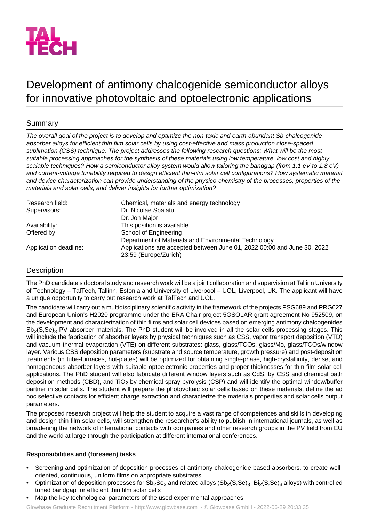

# Development of antimony chalcogenide semiconductor alloys for innovative photovoltaic and optoelectronic applications

# Summary

*The overall goal of the project is to develop and optimize the non-toxic and earth-abundant Sb-chalcogenide absorber alloys for efficient thin film solar cells by using cost-effective and mass production close-spaced sublimation (CSS) technique. The project addresses the following research questions: What will be the most suitable processing approaches for the synthesis of these materials using low temperature, low cost and highly scalable techniques? How a semiconductor alloy system would allow tailoring the bandgap (from 1.1 eV to 1.8 eV) and current-voltage tunability required to design efficient thin-film solar cell configurations? How systematic material and device characterization can provide understanding of the physico-chemistry of the processes, properties of the materials and solar cells, and deliver insights for further optimization?*

| Research field:       | Chemical, materials and energy technology                                                        |
|-----------------------|--------------------------------------------------------------------------------------------------|
| Supervisors:          | Dr. Nicolae Spalatu                                                                              |
|                       | Dr. Jon Major                                                                                    |
| Availability:         | This position is available.                                                                      |
| Offered by:           | School of Engineering                                                                            |
|                       | Department of Materials and Environmental Technology                                             |
| Application deadline: | Applications are accepted between June 01, 2022 00:00 and June 30, 2022<br>23:59 (Europe/Zurich) |

## Description

The PhD candidate's doctoral study and research work will be a joint collaboration and supervision at Tallinn University of Technology – TalTech, Tallinn, Estonia and University of Liverpool – UOL, Liverpool, UK. The applicant will have a unique opportunity to carry out research work at TalTech and UOL.

The candidate will carry out a multidisciplinary scientific activity in the framework of the projects PSG689 and PRG627 and European Union's H2020 programme under the ERA Chair project 5GSOLAR grant agreement No 952509, on the development and characterization of thin films and solar cell devices based on emerging antimony chalcogenides  $Sb<sub>2</sub>(S,Se)<sub>3</sub>$  PV absorber materials. The PhD student will be involved in all the solar cells processing stages. This will include the fabrication of absorber layers by physical techniques such as CSS, vapor transport deposition (VTD) and vacuum thermal evaporation (VTE) on different substrates: glass, glass/TCOs, glass/Mo, glass/TCOs/window layer. Various CSS deposition parameters (substrate and source temperature, growth pressure) and post-deposition treatments (in tube-furnaces, hot-plates) will be optimized for obtaining single-phase, high-crystallinity, dense, and homogeneous absorber layers with suitable optoelectronic properties and proper thicknesses for thin film solar cell applications. The PhD student will also fabricate different window layers such as CdS, by CSS and chemical bath deposition methods (CBD), and  $TiO<sub>2</sub>$  by chemical spray pyrolysis (CSP) and will identify the optimal window/buffer partner in solar cells. The student will prepare the photovoltaic solar cells based on these materials, define the ad hoc selective contacts for efficient charge extraction and characterize the materials properties and solar cells output parameters.

The proposed research project will help the student to acquire a vast range of competences and skills in developing and design thin film solar cells, will strengthen the researcher's ability to publish in international journals, as well as broadening the network of international contacts with companies and other research groups in the PV field from EU and the world at large through the participation at different international conferences.

## **Responsibilities and (foreseen) tasks**

- Screening and optimization of deposition processes of antimony chalcogenide-based absorbers, to create welloriented, continuous, uniform films on appropriate substrates
- Optimization of deposition processes for  $Sb_2Se_3$  and related alloys  $(Sb_2(S,Se)_3 Bi_2(S,Se)_3$  alloys) with controlled tuned bandgap for efficient thin film solar cells
- Map the key technological parameters of the used experimental approaches